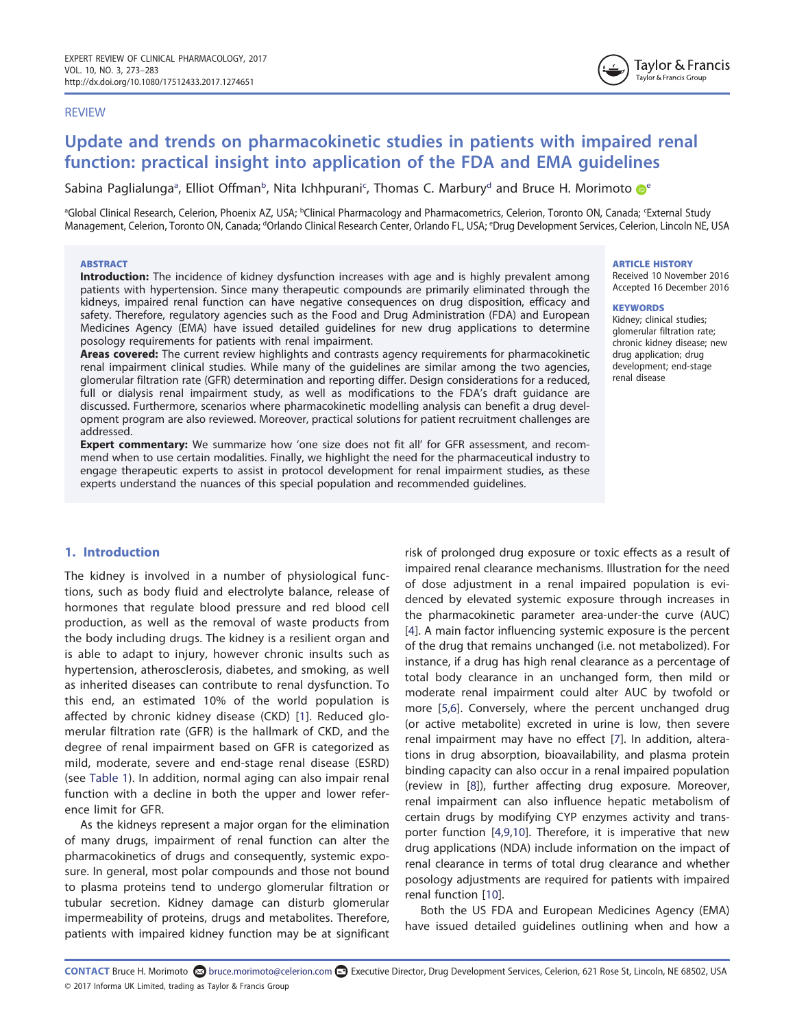#### REVIEW

# Update and trends on pharmacokinetic studies in patients with impaired renal function: practical insight into application of the FDA and EMA guidelines

Sabina Paglialunga<sup>a</sup>, Elliot Offman<sup>b</sup>, Nita Ichhpurani<sup>c</sup>, Thomas C. Marbury<sup>d</sup> and Bruce H. Morimoto <sup>ne</sup>

ªGlobal Clinical Research, Celerion, Phoenix AZ, USA; <sup>ь</sup>Clinical Pharmacology and Pharmacometrics, Celerion, Toronto ON, Canada; <sup>«</sup>External Study Management, Celerion, Toronto ON, Canada; <sup>d</sup>Orlando Clinical Research Center, Orlando FL, USA; <sup>e</sup>Drug Development Services, Celerion, Lincoln NE, USA

## **ABSTRACT**

Introduction: The incidence of kidney dysfunction increases with age and is highly prevalent among patients with hypertension. Since many therapeutic compounds are primarily eliminated through the kidneys, impaired renal function can have negative consequences on drug disposition, efficacy and safety. Therefore, regulatory agencies such as the Food and Drug Administration (FDA) and European Medicines Agency (EMA) have issued detailed guidelines for new drug applications to determine posology requirements for patients with renal impairment.

Areas covered: The current review highlights and contrasts agency requirements for pharmacokinetic renal impairment clinical studies. While many of the guidelines are similar among the two agencies, glomerular filtration rate (GFR) determination and reporting differ. Design considerations for a reduced, full or dialysis renal impairment study, as well as modifications to the FDA's draft guidance are discussed. Furthermore, scenarios where pharmacokinetic modelling analysis can benefit a drug development program are also reviewed. Moreover, practical solutions for patient recruitment challenges are addressed.

**Expert commentary:** We summarize how 'one size does not fit all' for GFR assessment, and recommend when to use certain modalities. Finally, we highlight the need for the pharmaceutical industry to engage therapeutic experts to assist in protocol development for renal impairment studies, as these experts understand the nuances of this special population and recommended guidelines.

# 1. Introduction

The kidney is involved in a number of physiological functions, such as body fluid and electrolyte balance, release of hormones that regulate blood pressure and red blood cell production, as well as the removal of waste products from the body including drugs. The kidney is a resilient organ and is able to adapt to injury, however chronic insults such as hypertension, atherosclerosis, diabetes, and smoking, as well as inherited diseases can contribute to renal dysfunction. To this end, an estimated 10% of the world population is affected by chronic kidney disease (CKD) [1]. Reduced glomerular filtration rate (GFR) is the hallmark of CKD, and the degree of renal impairment based on GFR is categorized as mild, moderate, severe and end-stage renal disease (ESRD) (see Table 1). In addition, normal aging can also impair renal function with a decline in both the upper and lower reference limit for GFR.

As the kidneys represent a major organ for the elimination of many drugs, impairment of renal function can alter the pharmacokinetics of drugs and consequently, systemic exposure. In general, most polar compounds and those not bound to plasma proteins tend to undergo glomerular filtration or tubular secretion. Kidney damage can disturb glomerular impermeability of proteins, drugs and metabolites. Therefore, patients with impaired kidney function may be at significant

risk of prolonged drug exposure or toxic effects as a result of impaired renal clearance mechanisms. Illustration for the need of dose adjustment in a renal impaired population is evidenced by elevated systemic exposure through increases in the pharmacokinetic parameter area-under-the curve (AUC) [4]. A main factor influencing systemic exposure is the percent of the drug that remains unchanged (i.e. not metabolized). For instance, if a drug has high renal clearance as a percentage of total body clearance in an unchanged form, then mild or moderate renal impairment could alter AUC by twofold or more [5,6]. Conversely, where the percent unchanged drug (or active metabolite) excreted in urine is low, then severe renal impairment may have no effect [7]. In addition, alterations in drug absorption, bioavailability, and plasma protein binding capacity can also occur in a renal impaired population (review in [8]), further affecting drug exposure. Moreover, renal impairment can also influence hepatic metabolism of certain drugs by modifying CYP enzymes activity and transporter function [4,9,10]. Therefore, it is imperative that new drug applications (NDA) include information on the impact of renal clearance in terms of total drug clearance and whether posology adjustments are required for patients with impaired renal function [10].

Both the US FDA and European Medicines Agency (EMA) have issued detailed guidelines outlining when and how a

#### ARTICLE HISTORY

Received 10 November 2016 Accepted 16 December 2016

#### **KEYWORDS**

Kidney; clinical studies; glomerular filtration rate; chronic kidney disease; new drug application; drug development; end-stage renal disease

CONTACT Bruce H. Morimoto bruce.morimoto@celerion.com Executive Director, Drug Development Services, Celerion, 621 Rose St, Lincoln, NE 68502, USA © 2017 Informa UK Limited, trading as Taylor & Francis Group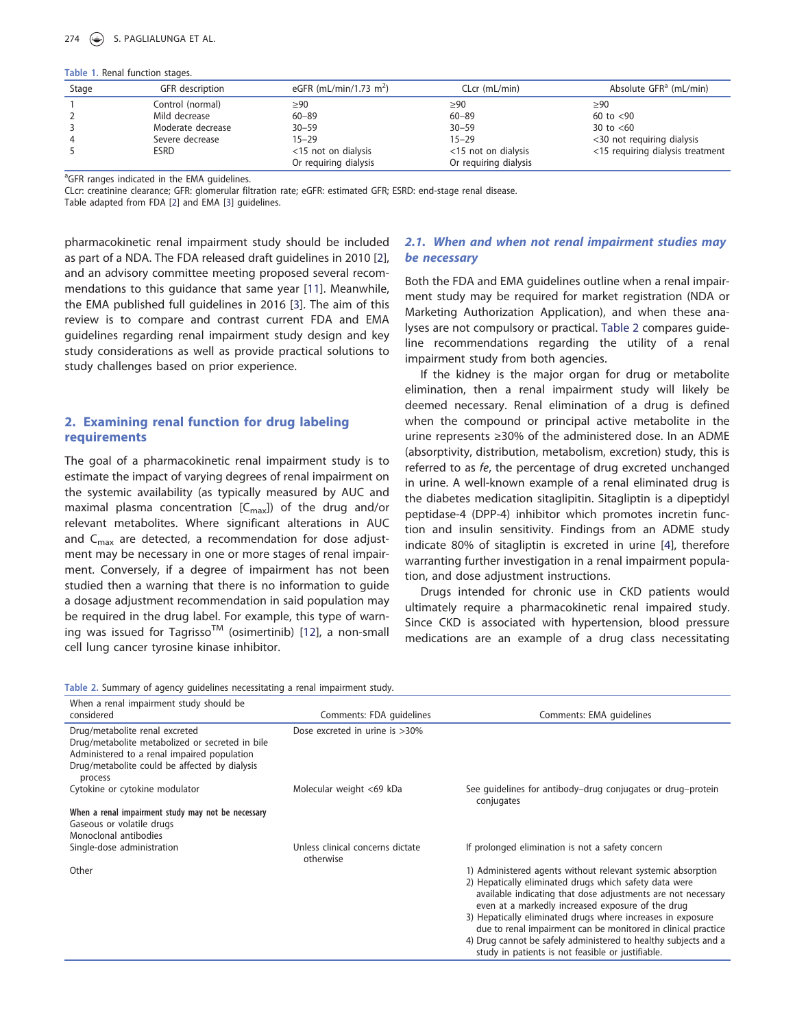## S. PAGLIALUNGA ET AL.

#### Table 1. Renal function stages.

| Stage | GFR description   | eGFR (mL/min/1.73 m <sup>2</sup> ) | CLcr (mL/min)         | Absolute GFR <sup>a</sup> (mL/min) |
|-------|-------------------|------------------------------------|-----------------------|------------------------------------|
|       | Control (normal)  | $\geq 90$                          | $\geq 90$             | $\geq 90$                          |
|       | Mild decrease     | $60 - 89$                          | $60 - 89$             | 60 to $< 90$                       |
|       | Moderate decrease | $30 - 59$                          | $30 - 59$             | 30 to $< 60$                       |
|       | Severe decrease   | $15 - 29$                          | $15 - 29$             | <30 not requiring dialysis         |
|       | <b>ESRD</b>       | <15 not on dialysis                | <15 not on dialysis   | <15 requiring dialysis treatment   |
|       |                   | Or requiring dialysis              | Or requiring dialysis |                                    |

<sup>a</sup>GFR ranges indicated in the EMA guidelines.

CLcr: creatinine clearance; GFR: glomerular filtration rate; eGFR: estimated GFR; ESRD: end-stage renal disease.

Table adapted from FDA [2] and EMA [3] guidelines.

pharmacokinetic renal impairment study should be included as part of a NDA. The FDA released draft guidelines in 2010 [2], and an advisory committee meeting proposed several recommendations to this guidance that same year [11]. Meanwhile, the EMA published full guidelines in 2016 [3]. The aim of this review is to compare and contrast current FDA and EMA guidelines regarding renal impairment study design and key study considerations as well as provide practical solutions to study challenges based on prior experience.

# 2. Examining renal function for drug labeling requirements

The goal of a pharmacokinetic renal impairment study is to estimate the impact of varying degrees of renal impairment on the systemic availability (as typically measured by AUC and maximal plasma concentration  $[C_{\text{max}}]$  of the drug and/or relevant metabolites. Where significant alterations in AUC and  $C_{\text{max}}$  are detected, a recommendation for dose adjustment may be necessary in one or more stages of renal impairment. Conversely, if a degree of impairment has not been studied then a warning that there is no information to guide a dosage adjustment recommendation in said population may be required in the drug label. For example, this type of warning was issued for Tagrisso<sup>TM</sup> (osimertinib) [12], a non-small cell lung cancer tyrosine kinase inhibitor.

# 2.1. When and when not renal impairment studies may be necessary

Both the FDA and EMA guidelines outline when a renal impairment study may be required for market registration (NDA or Marketing Authorization Application), and when these analyses are not compulsory or practical. Table 2 compares guideline recommendations regarding the utility of a renal impairment study from both agencies.

If the kidney is the major organ for drug or metabolite elimination, then a renal impairment study will likely be deemed necessary. Renal elimination of a drug is defined when the compound or principal active metabolite in the urine represents ≥30% of the administered dose. In an ADME (absorptivity, distribution, metabolism, excretion) study, this is referred to as fe, the percentage of drug excreted unchanged in urine. A well-known example of a renal eliminated drug is the diabetes medication sitaglipitin. Sitagliptin is a dipeptidyl peptidase-4 (DPP-4) inhibitor which promotes incretin function and insulin sensitivity. Findings from an ADME study indicate 80% of sitagliptin is excreted in urine [4], therefore warranting further investigation in a renal impairment population, and dose adjustment instructions.

Drugs intended for chronic use in CKD patients would ultimately require a pharmacokinetic renal impaired study. Since CKD is associated with hypertension, blood pressure medications are an example of a drug class necessitating

Table 2. Summary of agency guidelines necessitating a renal impairment study.

| When a renal impairment study should be<br>considered                                                                                                                                        | Comments: FDA quidelines                      | Comments: EMA quidelines                                                                                                                                                                                                                                                                                                                                                                                                                                                                           |
|----------------------------------------------------------------------------------------------------------------------------------------------------------------------------------------------|-----------------------------------------------|----------------------------------------------------------------------------------------------------------------------------------------------------------------------------------------------------------------------------------------------------------------------------------------------------------------------------------------------------------------------------------------------------------------------------------------------------------------------------------------------------|
| Drug/metabolite renal excreted<br>Drug/metabolite metabolized or secreted in bile<br>Administered to a renal impaired population<br>Drug/metabolite could be affected by dialysis<br>process | Dose excreted in urine is >30%                |                                                                                                                                                                                                                                                                                                                                                                                                                                                                                                    |
| Cytokine or cytokine modulator                                                                                                                                                               | Molecular weight <69 kDa                      | See quidelines for antibody-drug conjugates or drug-protein<br>conjugates                                                                                                                                                                                                                                                                                                                                                                                                                          |
| When a renal impairment study may not be necessary<br>Gaseous or volatile drugs<br>Monoclonal antibodies                                                                                     |                                               |                                                                                                                                                                                                                                                                                                                                                                                                                                                                                                    |
| Single-dose administration                                                                                                                                                                   | Unless clinical concerns dictate<br>otherwise | If prolonged elimination is not a safety concern                                                                                                                                                                                                                                                                                                                                                                                                                                                   |
| Other                                                                                                                                                                                        |                                               | 1) Administered agents without relevant systemic absorption<br>2) Hepatically eliminated drugs which safety data were<br>available indicating that dose adjustments are not necessary<br>even at a markedly increased exposure of the drug<br>3) Hepatically eliminated drugs where increases in exposure<br>due to renal impairment can be monitored in clinical practice<br>4) Drug cannot be safely administered to healthy subjects and a<br>study in patients is not feasible or justifiable. |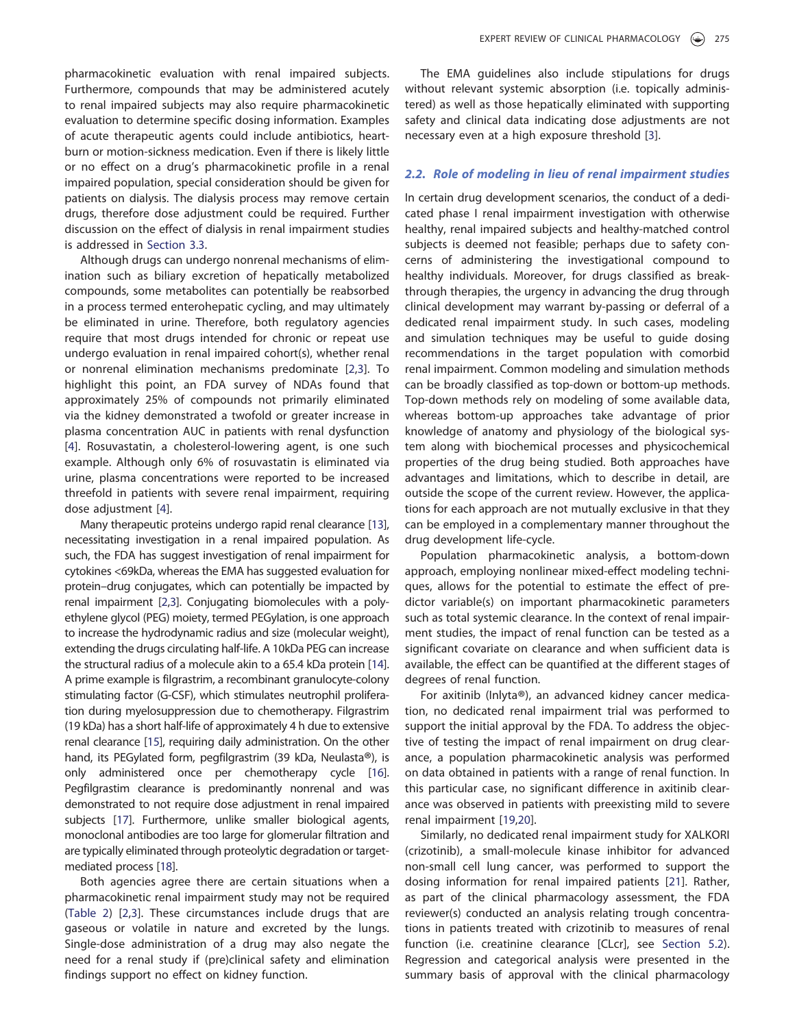pharmacokinetic evaluation with renal impaired subjects. Furthermore, compounds that may be administered acutely to renal impaired subjects may also require pharmacokinetic evaluation to determine specific dosing information. Examples of acute therapeutic agents could include antibiotics, heartburn or motion-sickness medication. Even if there is likely little or no effect on a drug's pharmacokinetic profile in a renal impaired population, special consideration should be given for patients on dialysis. The dialysis process may remove certain drugs, therefore dose adjustment could be required. Further discussion on the effect of dialysis in renal impairment studies is addressed in Section 3.3.

Although drugs can undergo nonrenal mechanisms of elimination such as biliary excretion of hepatically metabolized compounds, some metabolites can potentially be reabsorbed in a process termed enterohepatic cycling, and may ultimately be eliminated in urine. Therefore, both regulatory agencies require that most drugs intended for chronic or repeat use undergo evaluation in renal impaired cohort(s), whether renal or nonrenal elimination mechanisms predominate [2,3]. To highlight this point, an FDA survey of NDAs found that approximately 25% of compounds not primarily eliminated via the kidney demonstrated a twofold or greater increase in plasma concentration AUC in patients with renal dysfunction [4]. Rosuvastatin, a cholesterol-lowering agent, is one such example. Although only 6% of rosuvastatin is eliminated via urine, plasma concentrations were reported to be increased threefold in patients with severe renal impairment, requiring dose adjustment [4].

Many therapeutic proteins undergo rapid renal clearance [13], necessitating investigation in a renal impaired population. As such, the FDA has suggest investigation of renal impairment for cytokines <69kDa, whereas the EMA has suggested evaluation for protein–drug conjugates, which can potentially be impacted by renal impairment [2,3]. Conjugating biomolecules with a polyethylene glycol (PEG) moiety, termed PEGylation, is one approach to increase the hydrodynamic radius and size (molecular weight), extending the drugs circulating half-life. A 10kDa PEG can increase the structural radius of a molecule akin to a 65.4 kDa protein [14]. A prime example is filgrastrim, a recombinant granulocyte-colony stimulating factor (G-CSF), which stimulates neutrophil proliferation during myelosuppression due to chemotherapy. Filgrastrim (19 kDa) has a short half-life of approximately 4 h due to extensive renal clearance [15], requiring daily administration. On the other hand, its PEGylated form, pegfilgrastrim (39 kDa, Neulasta®), is only administered once per chemotherapy cycle [16]. Pegfilgrastim clearance is predominantly nonrenal and was demonstrated to not require dose adjustment in renal impaired subjects [17]. Furthermore, unlike smaller biological agents, monoclonal antibodies are too large for glomerular filtration and are typically eliminated through proteolytic degradation or targetmediated process [18].

Both agencies agree there are certain situations when a pharmacokinetic renal impairment study may not be required (Table 2) [2,3]. These circumstances include drugs that are gaseous or volatile in nature and excreted by the lungs. Single-dose administration of a drug may also negate the need for a renal study if (pre)clinical safety and elimination findings support no effect on kidney function.

The EMA guidelines also include stipulations for drugs without relevant systemic absorption (i.e. topically administered) as well as those hepatically eliminated with supporting safety and clinical data indicating dose adjustments are not necessary even at a high exposure threshold [3].

## 2.2. Role of modeling in lieu of renal impairment studies

In certain drug development scenarios, the conduct of a dedicated phase I renal impairment investigation with otherwise healthy, renal impaired subjects and healthy-matched control subjects is deemed not feasible; perhaps due to safety concerns of administering the investigational compound to healthy individuals. Moreover, for drugs classified as breakthrough therapies, the urgency in advancing the drug through clinical development may warrant by-passing or deferral of a dedicated renal impairment study. In such cases, modeling and simulation techniques may be useful to guide dosing recommendations in the target population with comorbid renal impairment. Common modeling and simulation methods can be broadly classified as top-down or bottom-up methods. Top-down methods rely on modeling of some available data, whereas bottom-up approaches take advantage of prior knowledge of anatomy and physiology of the biological system along with biochemical processes and physicochemical properties of the drug being studied. Both approaches have advantages and limitations, which to describe in detail, are outside the scope of the current review. However, the applications for each approach are not mutually exclusive in that they can be employed in a complementary manner throughout the drug development life-cycle.

Population pharmacokinetic analysis, a bottom-down approach, employing nonlinear mixed-effect modeling techniques, allows for the potential to estimate the effect of predictor variable(s) on important pharmacokinetic parameters such as total systemic clearance. In the context of renal impairment studies, the impact of renal function can be tested as a significant covariate on clearance and when sufficient data is available, the effect can be quantified at the different stages of degrees of renal function.

For axitinib (Inlyta® ), an advanced kidney cancer medication, no dedicated renal impairment trial was performed to support the initial approval by the FDA. To address the objective of testing the impact of renal impairment on drug clearance, a population pharmacokinetic analysis was performed on data obtained in patients with a range of renal function. In this particular case, no significant difference in axitinib clearance was observed in patients with preexisting mild to severe renal impairment [19,20].

Similarly, no dedicated renal impairment study for XALKORI (crizotinib), a small-molecule kinase inhibitor for advanced non-small cell lung cancer, was performed to support the dosing information for renal impaired patients [21]. Rather, as part of the clinical pharmacology assessment, the FDA reviewer(s) conducted an analysis relating trough concentrations in patients treated with crizotinib to measures of renal function (i.e. creatinine clearance [CLcr], see Section 5.2). Regression and categorical analysis were presented in the summary basis of approval with the clinical pharmacology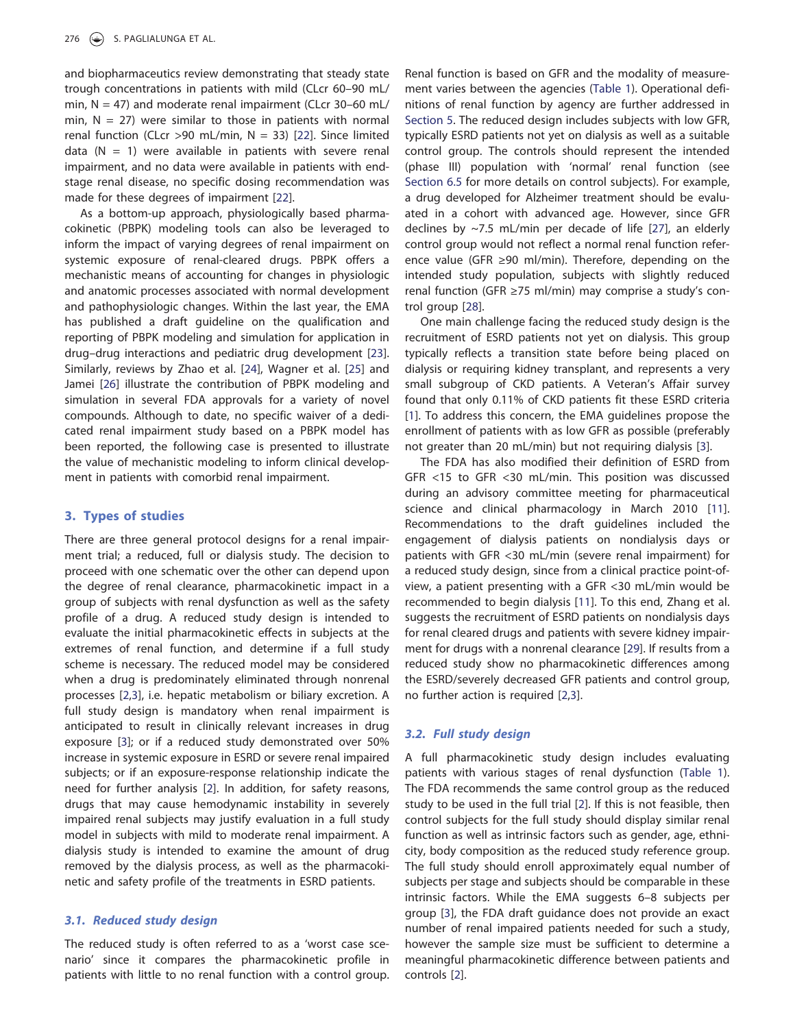and biopharmaceutics review demonstrating that steady state trough concentrations in patients with mild (CLcr 60–90 mL/ min,  $N = 47$ ) and moderate renal impairment (CLcr 30–60 mL/ min,  $N = 27$ ) were similar to those in patients with normal renal function (CLcr >90 mL/min,  $N = 33$ ) [22]. Since limited data ( $N = 1$ ) were available in patients with severe renal impairment, and no data were available in patients with endstage renal disease, no specific dosing recommendation was made for these degrees of impairment [22].

As a bottom-up approach, physiologically based pharmacokinetic (PBPK) modeling tools can also be leveraged to inform the impact of varying degrees of renal impairment on systemic exposure of renal-cleared drugs. PBPK offers a mechanistic means of accounting for changes in physiologic and anatomic processes associated with normal development and pathophysiologic changes. Within the last year, the EMA has published a draft guideline on the qualification and reporting of PBPK modeling and simulation for application in drug–drug interactions and pediatric drug development [23]. Similarly, reviews by Zhao et al. [24], Wagner et al. [25] and Jamei [26] illustrate the contribution of PBPK modeling and simulation in several FDA approvals for a variety of novel compounds. Although to date, no specific waiver of a dedicated renal impairment study based on a PBPK model has been reported, the following case is presented to illustrate the value of mechanistic modeling to inform clinical development in patients with comorbid renal impairment.

## 3. Types of studies

There are three general protocol designs for a renal impairment trial; a reduced, full or dialysis study. The decision to proceed with one schematic over the other can depend upon the degree of renal clearance, pharmacokinetic impact in a group of subjects with renal dysfunction as well as the safety profile of a drug. A reduced study design is intended to evaluate the initial pharmacokinetic effects in subjects at the extremes of renal function, and determine if a full study scheme is necessary. The reduced model may be considered when a drug is predominately eliminated through nonrenal processes [2,3], i.e. hepatic metabolism or biliary excretion. A full study design is mandatory when renal impairment is anticipated to result in clinically relevant increases in drug exposure [3]; or if a reduced study demonstrated over 50% increase in systemic exposure in ESRD or severe renal impaired subjects; or if an exposure-response relationship indicate the need for further analysis [2]. In addition, for safety reasons, drugs that may cause hemodynamic instability in severely impaired renal subjects may justify evaluation in a full study model in subjects with mild to moderate renal impairment. A dialysis study is intended to examine the amount of drug removed by the dialysis process, as well as the pharmacokinetic and safety profile of the treatments in ESRD patients.

# 3.1. Reduced study design

The reduced study is often referred to as a 'worst case scenario' since it compares the pharmacokinetic profile in patients with little to no renal function with a control group. Renal function is based on GFR and the modality of measurement varies between the agencies (Table 1). Operational definitions of renal function by agency are further addressed in Section 5. The reduced design includes subjects with low GFR, typically ESRD patients not yet on dialysis as well as a suitable control group. The controls should represent the intended (phase III) population with 'normal' renal function (see Section 6.5 for more details on control subjects). For example, a drug developed for Alzheimer treatment should be evaluated in a cohort with advanced age. However, since GFR declines by  $\sim$ 7.5 mL/min per decade of life [27], an elderly control group would not reflect a normal renal function reference value (GFR ≥90 ml/min). Therefore, depending on the intended study population, subjects with slightly reduced renal function (GFR ≥75 ml/min) may comprise a study's control group [28].

One main challenge facing the reduced study design is the recruitment of ESRD patients not yet on dialysis. This group typically reflects a transition state before being placed on dialysis or requiring kidney transplant, and represents a very small subgroup of CKD patients. A Veteran's Affair survey found that only 0.11% of CKD patients fit these ESRD criteria [1]. To address this concern, the EMA guidelines propose the enrollment of patients with as low GFR as possible (preferably not greater than 20 mL/min) but not requiring dialysis [3].

The FDA has also modified their definition of ESRD from GFR <15 to GFR <30 mL/min. This position was discussed during an advisory committee meeting for pharmaceutical science and clinical pharmacology in March 2010 [11]. Recommendations to the draft guidelines included the engagement of dialysis patients on nondialysis days or patients with GFR <30 mL/min (severe renal impairment) for a reduced study design, since from a clinical practice point-ofview, a patient presenting with a GFR <30 mL/min would be recommended to begin dialysis [11]. To this end, Zhang et al. suggests the recruitment of ESRD patients on nondialysis days for renal cleared drugs and patients with severe kidney impairment for drugs with a nonrenal clearance [29]. If results from a reduced study show no pharmacokinetic differences among the ESRD/severely decreased GFR patients and control group, no further action is required [2,3].

#### 3.2. Full study design

A full pharmacokinetic study design includes evaluating patients with various stages of renal dysfunction (Table 1). The FDA recommends the same control group as the reduced study to be used in the full trial [2]. If this is not feasible, then control subjects for the full study should display similar renal function as well as intrinsic factors such as gender, age, ethnicity, body composition as the reduced study reference group. The full study should enroll approximately equal number of subjects per stage and subjects should be comparable in these intrinsic factors. While the EMA suggests 6–8 subjects per group [3], the FDA draft guidance does not provide an exact number of renal impaired patients needed for such a study, however the sample size must be sufficient to determine a meaningful pharmacokinetic difference between patients and controls [2].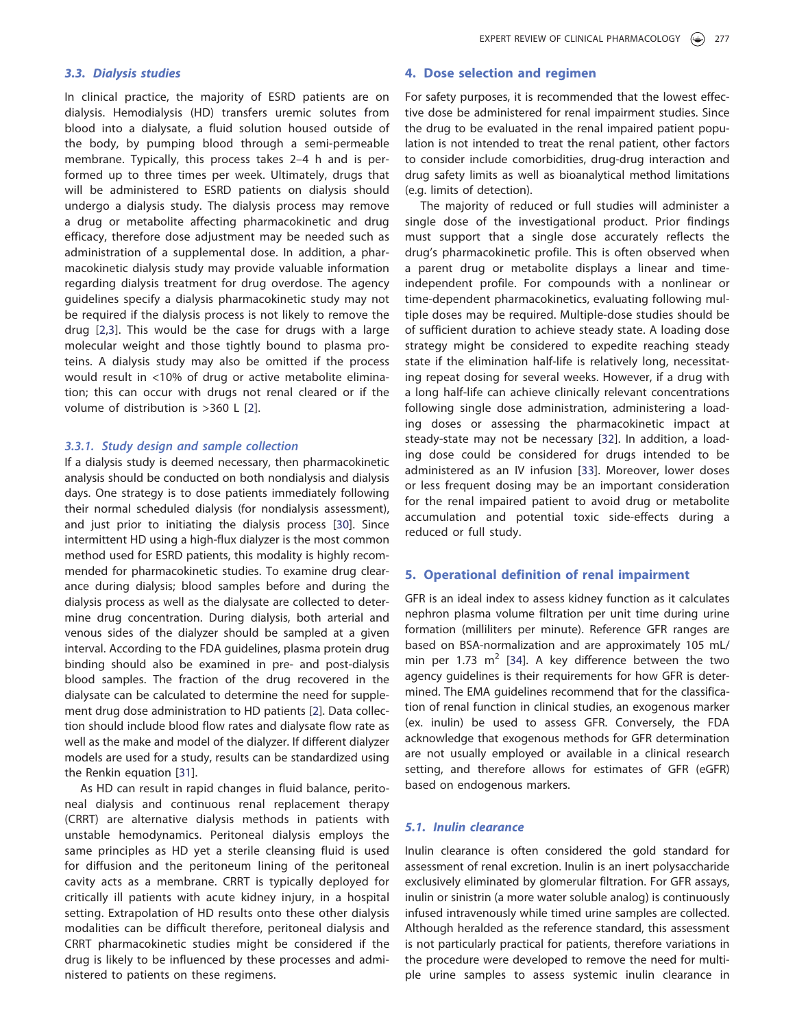## 3.3. Dialysis studies

In clinical practice, the majority of ESRD patients are on dialysis. Hemodialysis (HD) transfers uremic solutes from blood into a dialysate, a fluid solution housed outside of the body, by pumping blood through a semi-permeable membrane. Typically, this process takes 2–4 h and is performed up to three times per week. Ultimately, drugs that will be administered to ESRD patients on dialysis should undergo a dialysis study. The dialysis process may remove a drug or metabolite affecting pharmacokinetic and drug efficacy, therefore dose adjustment may be needed such as administration of a supplemental dose. In addition, a pharmacokinetic dialysis study may provide valuable information regarding dialysis treatment for drug overdose. The agency guidelines specify a dialysis pharmacokinetic study may not be required if the dialysis process is not likely to remove the drug [2,3]. This would be the case for drugs with a large molecular weight and those tightly bound to plasma proteins. A dialysis study may also be omitted if the process would result in <10% of drug or active metabolite elimination; this can occur with drugs not renal cleared or if the volume of distribution is >360 L [2].

#### 3.3.1. Study design and sample collection

If a dialysis study is deemed necessary, then pharmacokinetic analysis should be conducted on both nondialysis and dialysis days. One strategy is to dose patients immediately following their normal scheduled dialysis (for nondialysis assessment), and just prior to initiating the dialysis process [30]. Since intermittent HD using a high-flux dialyzer is the most common method used for ESRD patients, this modality is highly recommended for pharmacokinetic studies. To examine drug clearance during dialysis; blood samples before and during the dialysis process as well as the dialysate are collected to determine drug concentration. During dialysis, both arterial and venous sides of the dialyzer should be sampled at a given interval. According to the FDA guidelines, plasma protein drug binding should also be examined in pre- and post-dialysis blood samples. The fraction of the drug recovered in the dialysate can be calculated to determine the need for supplement drug dose administration to HD patients [2]. Data collection should include blood flow rates and dialysate flow rate as well as the make and model of the dialyzer. If different dialyzer models are used for a study, results can be standardized using the Renkin equation [31].

As HD can result in rapid changes in fluid balance, peritoneal dialysis and continuous renal replacement therapy (CRRT) are alternative dialysis methods in patients with unstable hemodynamics. Peritoneal dialysis employs the same principles as HD yet a sterile cleansing fluid is used for diffusion and the peritoneum lining of the peritoneal cavity acts as a membrane. CRRT is typically deployed for critically ill patients with acute kidney injury, in a hospital setting. Extrapolation of HD results onto these other dialysis modalities can be difficult therefore, peritoneal dialysis and CRRT pharmacokinetic studies might be considered if the drug is likely to be influenced by these processes and administered to patients on these regimens.

# 4. Dose selection and regimen

For safety purposes, it is recommended that the lowest effective dose be administered for renal impairment studies. Since the drug to be evaluated in the renal impaired patient population is not intended to treat the renal patient, other factors to consider include comorbidities, drug-drug interaction and drug safety limits as well as bioanalytical method limitations (e.g. limits of detection).

The majority of reduced or full studies will administer a single dose of the investigational product. Prior findings must support that a single dose accurately reflects the drug's pharmacokinetic profile. This is often observed when a parent drug or metabolite displays a linear and timeindependent profile. For compounds with a nonlinear or time-dependent pharmacokinetics, evaluating following multiple doses may be required. Multiple-dose studies should be of sufficient duration to achieve steady state. A loading dose strategy might be considered to expedite reaching steady state if the elimination half-life is relatively long, necessitating repeat dosing for several weeks. However, if a drug with a long half-life can achieve clinically relevant concentrations following single dose administration, administering a loading doses or assessing the pharmacokinetic impact at steady-state may not be necessary [32]. In addition, a loading dose could be considered for drugs intended to be administered as an IV infusion [33]. Moreover, lower doses or less frequent dosing may be an important consideration for the renal impaired patient to avoid drug or metabolite accumulation and potential toxic side-effects during a reduced or full study.

#### 5. Operational definition of renal impairment

GFR is an ideal index to assess kidney function as it calculates nephron plasma volume filtration per unit time during urine formation (milliliters per minute). Reference GFR ranges are based on BSA-normalization and are approximately 105 mL/ min per 1.73  $m^2$  [34]. A key difference between the two agency guidelines is their requirements for how GFR is determined. The EMA guidelines recommend that for the classification of renal function in clinical studies, an exogenous marker (ex. inulin) be used to assess GFR. Conversely, the FDA acknowledge that exogenous methods for GFR determination are not usually employed or available in a clinical research setting, and therefore allows for estimates of GFR (eGFR) based on endogenous markers.

# 5.1. Inulin clearance

Inulin clearance is often considered the gold standard for assessment of renal excretion. Inulin is an inert polysaccharide exclusively eliminated by glomerular filtration. For GFR assays, inulin or sinistrin (a more water soluble analog) is continuously infused intravenously while timed urine samples are collected. Although heralded as the reference standard, this assessment is not particularly practical for patients, therefore variations in the procedure were developed to remove the need for multiple urine samples to assess systemic inulin clearance in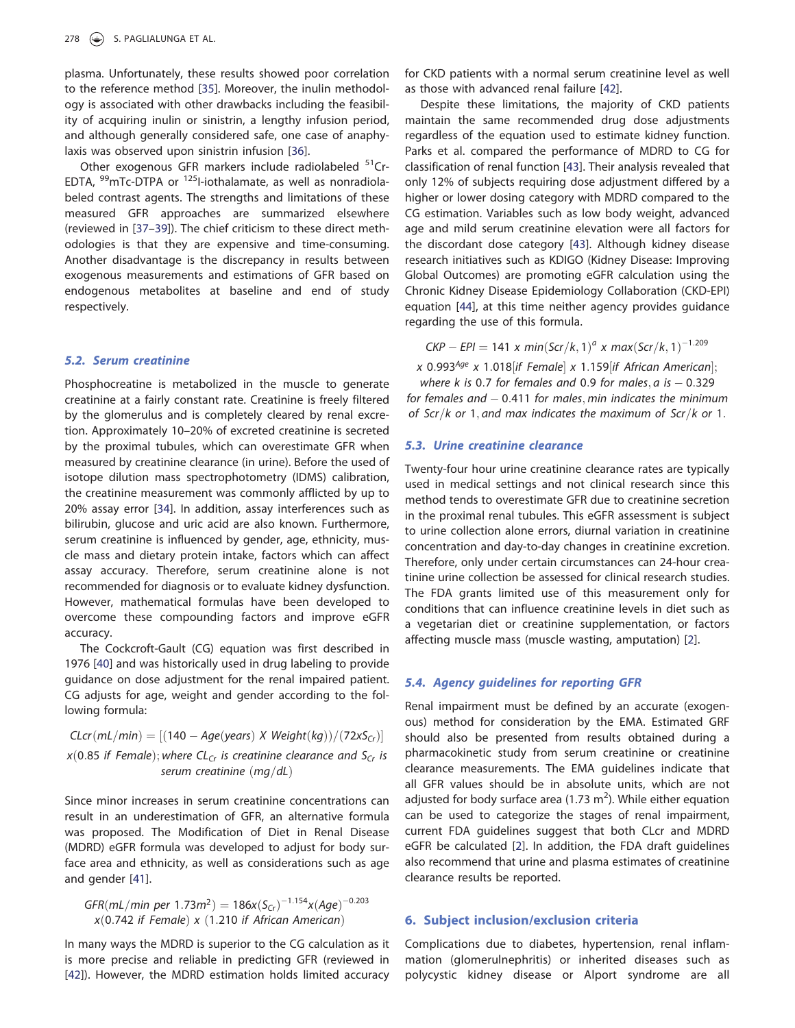plasma. Unfortunately, these results showed poor correlation to the reference method [35]. Moreover, the inulin methodology is associated with other drawbacks including the feasibility of acquiring inulin or sinistrin, a lengthy infusion period, and although generally considered safe, one case of anaphylaxis was observed upon sinistrin infusion [36].

Other exogenous GFR markers include radiolabeled <sup>51</sup>Cr-EDTA,  $^{99}$ mTc-DTPA or  $^{125}$ I-iothalamate, as well as nonradiolabeled contrast agents. The strengths and limitations of these measured GFR approaches are summarized elsewhere (reviewed in [37–39]). The chief criticism to these direct methodologies is that they are expensive and time-consuming. Another disadvantage is the discrepancy in results between exogenous measurements and estimations of GFR based on endogenous metabolites at baseline and end of study respectively.

## 5.2. Serum creatinine

Phosphocreatine is metabolized in the muscle to generate creatinine at a fairly constant rate. Creatinine is freely filtered by the glomerulus and is completely cleared by renal excretion. Approximately 10–20% of excreted creatinine is secreted by the proximal tubules, which can overestimate GFR when measured by creatinine clearance (in urine). Before the used of isotope dilution mass spectrophotometry (IDMS) calibration, the creatinine measurement was commonly afflicted by up to 20% assay error [34]. In addition, assay interferences such as bilirubin, glucose and uric acid are also known. Furthermore, serum creatinine is influenced by gender, age, ethnicity, muscle mass and dietary protein intake, factors which can affect assay accuracy. Therefore, serum creatinine alone is not recommended for diagnosis or to evaluate kidney dysfunction. However, mathematical formulas have been developed to overcome these compounding factors and improve eGFR accuracy.

The Cockcroft-Gault (CG) equation was first described in 1976 [40] and was historically used in drug labeling to provide guidance on dose adjustment for the renal impaired patient. CG adjusts for age, weight and gender according to the following formula:

$$
CLcr(mL/min) = [(140 - Age(years) \times Weight(kg))/(72xSCr)]
$$
  
x(0.85 if Female); where CL<sub>Cr</sub> is creationine clearance and S<sub>Cr</sub> is  
serum creationine (mg/dL)

Since minor increases in serum creatinine concentrations can result in an underestimation of GFR, an alternative formula was proposed. The Modification of Diet in Renal Disease (MDRD) eGFR formula was developed to adjust for body surface area and ethnicity, as well as considerations such as age and gender [41].

GFR(mL/min per 1.73m<sup>2</sup>) = 186x(S<sub>Cr</sub>)<sup>-1.154</sup>x(Age)<sup>-0.203</sup>  $x(0.742$  if Female) x (1.210 if African American)

In many ways the MDRD is superior to the CG calculation as it is more precise and reliable in predicting GFR (reviewed in [42]). However, the MDRD estimation holds limited accuracy for CKD patients with a normal serum creatinine level as well as those with advanced renal failure [42].

Despite these limitations, the majority of CKD patients maintain the same recommended drug dose adjustments regardless of the equation used to estimate kidney function. Parks et al. compared the performance of MDRD to CG for classification of renal function [43]. Their analysis revealed that only 12% of subjects requiring dose adjustment differed by a higher or lower dosing category with MDRD compared to the CG estimation. Variables such as low body weight, advanced age and mild serum creatinine elevation were all factors for the discordant dose category [43]. Although kidney disease research initiatives such as KDIGO (Kidney Disease: Improving Global Outcomes) are promoting eGFR calculation using the Chronic Kidney Disease Epidemiology Collaboration (CKD-EPI) equation [44], at this time neither agency provides guidance regarding the use of this formula.

 $\mathsf{CKP} - \mathsf{EPI} = 141 \times \mathsf{min}(\mathsf{Scr}/k, 1)^a \times \mathsf{max}(\mathsf{Scr}/k, 1)^{-1.209}$ 

x 0.993<sup>Age</sup> x 1.018 if Female x 1.159 if African American ;

where k is 0.7 for females and 0.9 for males,  $a$  is  $-$  0.329 for females and  $-$  0.411 for males, min indicates the minimum of Scr/k or 1, and max indicates the maximum of Scr/k or 1.

#### 5.3. Urine creatinine clearance

Twenty-four hour urine creatinine clearance rates are typically used in medical settings and not clinical research since this method tends to overestimate GFR due to creatinine secretion in the proximal renal tubules. This eGFR assessment is subject to urine collection alone errors, diurnal variation in creatinine concentration and day-to-day changes in creatinine excretion. Therefore, only under certain circumstances can 24-hour creatinine urine collection be assessed for clinical research studies. The FDA grants limited use of this measurement only for conditions that can influence creatinine levels in diet such as a vegetarian diet or creatinine supplementation, or factors affecting muscle mass (muscle wasting, amputation) [2].

#### 5.4. Agency guidelines for reporting GFR

Renal impairment must be defined by an accurate (exogenous) method for consideration by the EMA. Estimated GRF should also be presented from results obtained during a pharmacokinetic study from serum creatinine or creatinine clearance measurements. The EMA guidelines indicate that all GFR values should be in absolute units, which are not adjusted for body surface area (1.73  $m<sup>2</sup>$ ). While either equation can be used to categorize the stages of renal impairment, current FDA guidelines suggest that both CLcr and MDRD eGFR be calculated [2]. In addition, the FDA draft guidelines also recommend that urine and plasma estimates of creatinine clearance results be reported.

# 6. Subject inclusion/exclusion criteria

Complications due to diabetes, hypertension, renal inflammation (glomerulnephritis) or inherited diseases such as polycystic kidney disease or Alport syndrome are all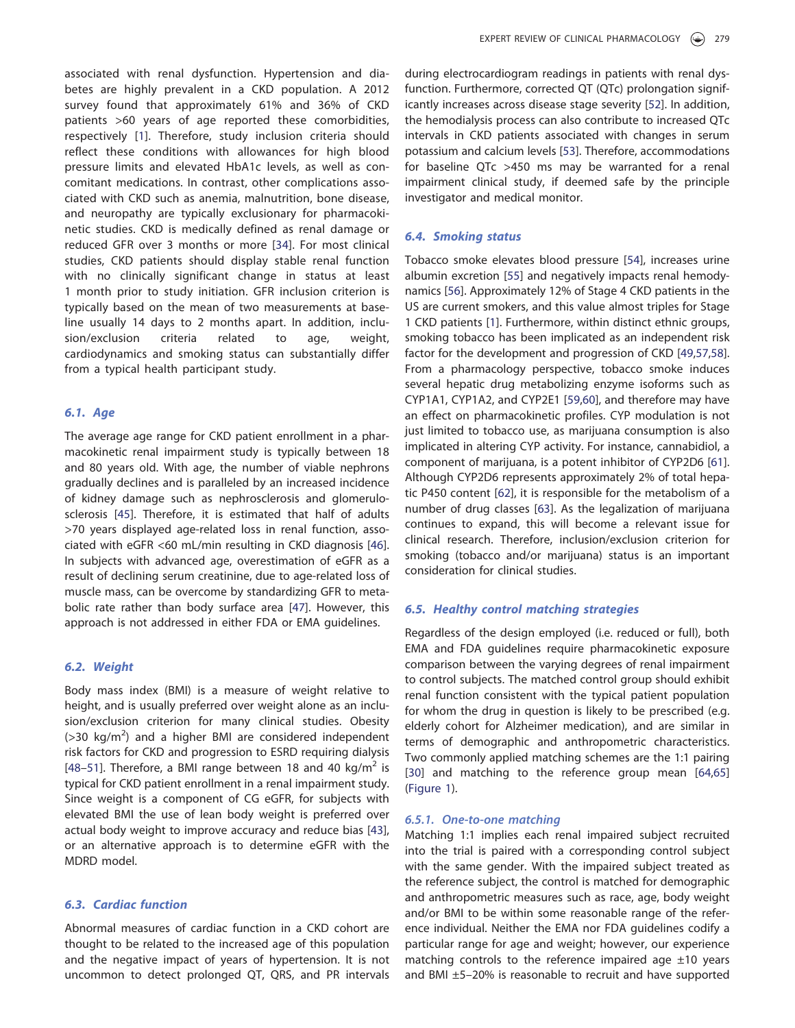associated with renal dysfunction. Hypertension and diabetes are highly prevalent in a CKD population. A 2012 survey found that approximately 61% and 36% of CKD patients >60 years of age reported these comorbidities, respectively [1]. Therefore, study inclusion criteria should reflect these conditions with allowances for high blood pressure limits and elevated HbA1c levels, as well as concomitant medications. In contrast, other complications associated with CKD such as anemia, malnutrition, bone disease, and neuropathy are typically exclusionary for pharmacokinetic studies. CKD is medically defined as renal damage or reduced GFR over 3 months or more [34]. For most clinical studies, CKD patients should display stable renal function with no clinically significant change in status at least 1 month prior to study initiation. GFR inclusion criterion is typically based on the mean of two measurements at baseline usually 14 days to 2 months apart. In addition, inclusion/exclusion criteria related to age, weight, cardiodynamics and smoking status can substantially differ from a typical health participant study.

## 6.1. Age

The average age range for CKD patient enrollment in a pharmacokinetic renal impairment study is typically between 18 and 80 years old. With age, the number of viable nephrons gradually declines and is paralleled by an increased incidence of kidney damage such as nephrosclerosis and glomerulosclerosis [45]. Therefore, it is estimated that half of adults >70 years displayed age-related loss in renal function, associated with eGFR <60 mL/min resulting in CKD diagnosis [46]. In subjects with advanced age, overestimation of eGFR as a result of declining serum creatinine, due to age-related loss of muscle mass, can be overcome by standardizing GFR to metabolic rate rather than body surface area [47]. However, this approach is not addressed in either FDA or EMA guidelines.

#### 6.2. Weight

Body mass index (BMI) is a measure of weight relative to height, and is usually preferred over weight alone as an inclusion/exclusion criterion for many clinical studies. Obesity  $($ >30 kg/m<sup>2</sup>) and a higher BMI are considered independent risk factors for CKD and progression to ESRD requiring dialysis [48-51]. Therefore, a BMI range between 18 and 40 kg/ $m^2$  is typical for CKD patient enrollment in a renal impairment study. Since weight is a component of CG eGFR, for subjects with elevated BMI the use of lean body weight is preferred over actual body weight to improve accuracy and reduce bias [43], or an alternative approach is to determine eGFR with the MDRD model.

# 6.3. Cardiac function

Abnormal measures of cardiac function in a CKD cohort are thought to be related to the increased age of this population and the negative impact of years of hypertension. It is not uncommon to detect prolonged QT, QRS, and PR intervals during electrocardiogram readings in patients with renal dysfunction. Furthermore, corrected QT (QTc) prolongation significantly increases across disease stage severity [52]. In addition, the hemodialysis process can also contribute to increased QTc intervals in CKD patients associated with changes in serum potassium and calcium levels [53]. Therefore, accommodations for baseline QTc >450 ms may be warranted for a renal impairment clinical study, if deemed safe by the principle investigator and medical monitor.

#### 6.4. Smoking status

Tobacco smoke elevates blood pressure [54], increases urine albumin excretion [55] and negatively impacts renal hemodynamics [56]. Approximately 12% of Stage 4 CKD patients in the US are current smokers, and this value almost triples for Stage 1 CKD patients [1]. Furthermore, within distinct ethnic groups, smoking tobacco has been implicated as an independent risk factor for the development and progression of CKD [49,57,58]. From a pharmacology perspective, tobacco smoke induces several hepatic drug metabolizing enzyme isoforms such as CYP1A1, CYP1A2, and CYP2E1 [59,60], and therefore may have an effect on pharmacokinetic profiles. CYP modulation is not just limited to tobacco use, as marijuana consumption is also implicated in altering CYP activity. For instance, cannabidiol, a component of marijuana, is a potent inhibitor of CYP2D6 [61]. Although CYP2D6 represents approximately 2% of total hepatic P450 content [62], it is responsible for the metabolism of a number of drug classes [63]. As the legalization of marijuana continues to expand, this will become a relevant issue for clinical research. Therefore, inclusion/exclusion criterion for smoking (tobacco and/or marijuana) status is an important consideration for clinical studies.

## 6.5. Healthy control matching strategies

Regardless of the design employed (i.e. reduced or full), both EMA and FDA guidelines require pharmacokinetic exposure comparison between the varying degrees of renal impairment to control subjects. The matched control group should exhibit renal function consistent with the typical patient population for whom the drug in question is likely to be prescribed (e.g. elderly cohort for Alzheimer medication), and are similar in terms of demographic and anthropometric characteristics. Two commonly applied matching schemes are the 1:1 pairing [30] and matching to the reference group mean [64,65] (Figure 1).

## 6.5.1. One-to-one matching

Matching 1:1 implies each renal impaired subject recruited into the trial is paired with a corresponding control subject with the same gender. With the impaired subject treated as the reference subject, the control is matched for demographic and anthropometric measures such as race, age, body weight and/or BMI to be within some reasonable range of the reference individual. Neither the EMA nor FDA guidelines codify a particular range for age and weight; however, our experience matching controls to the reference impaired age  $\pm 10$  years and BMI ±5–20% is reasonable to recruit and have supported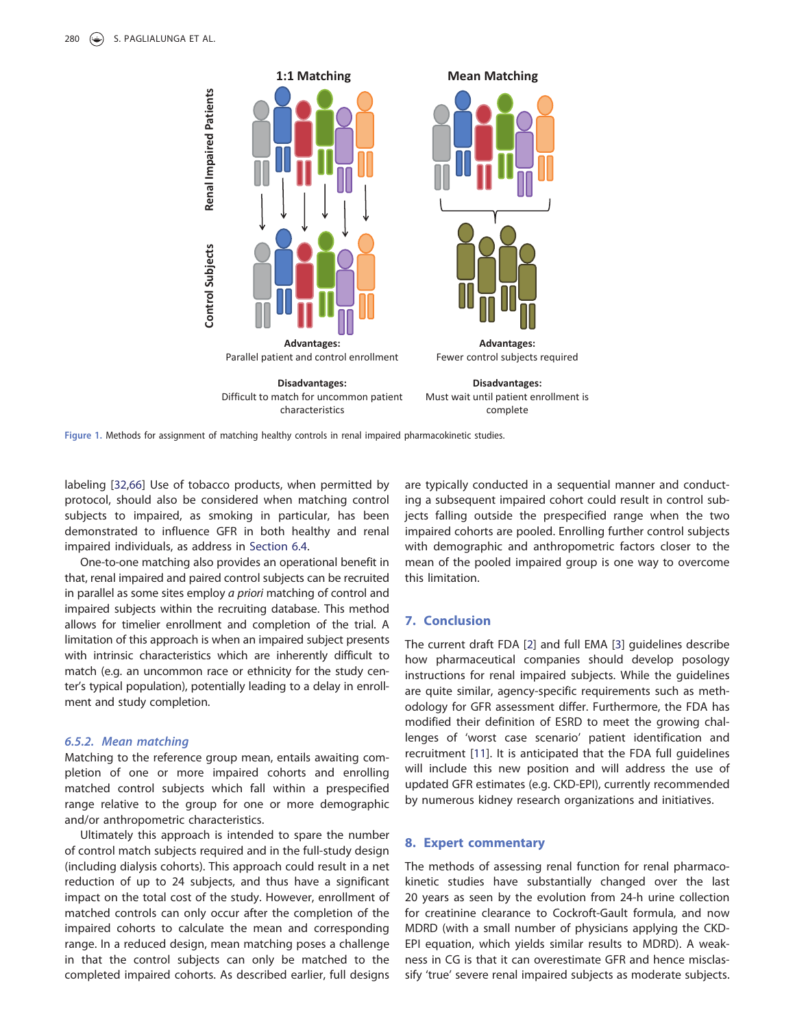

Figure 1. Methods for assignment of matching healthy controls in renal impaired pharmacokinetic studies.

labeling [32,66] Use of tobacco products, when permitted by protocol, should also be considered when matching control subjects to impaired, as smoking in particular, has been demonstrated to influence GFR in both healthy and renal impaired individuals, as address in Section 6.4.

One-to-one matching also provides an operational benefit in that, renal impaired and paired control subjects can be recruited in parallel as some sites employ a priori matching of control and impaired subjects within the recruiting database. This method allows for timelier enrollment and completion of the trial. A limitation of this approach is when an impaired subject presents with intrinsic characteristics which are inherently difficult to match (e.g. an uncommon race or ethnicity for the study center's typical population), potentially leading to a delay in enrollment and study completion.

#### 6.5.2. Mean matching

Matching to the reference group mean, entails awaiting completion of one or more impaired cohorts and enrolling matched control subjects which fall within a prespecified range relative to the group for one or more demographic and/or anthropometric characteristics.

Ultimately this approach is intended to spare the number of control match subjects required and in the full-study design (including dialysis cohorts). This approach could result in a net reduction of up to 24 subjects, and thus have a significant impact on the total cost of the study. However, enrollment of matched controls can only occur after the completion of the impaired cohorts to calculate the mean and corresponding range. In a reduced design, mean matching poses a challenge in that the control subjects can only be matched to the completed impaired cohorts. As described earlier, full designs

are typically conducted in a sequential manner and conducting a subsequent impaired cohort could result in control subjects falling outside the prespecified range when the two impaired cohorts are pooled. Enrolling further control subjects with demographic and anthropometric factors closer to the mean of the pooled impaired group is one way to overcome this limitation.

# 7. Conclusion

The current draft FDA [2] and full EMA [3] guidelines describe how pharmaceutical companies should develop posology instructions for renal impaired subjects. While the guidelines are quite similar, agency-specific requirements such as methodology for GFR assessment differ. Furthermore, the FDA has modified their definition of ESRD to meet the growing challenges of 'worst case scenario' patient identification and recruitment [11]. It is anticipated that the FDA full guidelines will include this new position and will address the use of updated GFR estimates (e.g. CKD-EPI), currently recommended by numerous kidney research organizations and initiatives.

## 8. Expert commentary

The methods of assessing renal function for renal pharmacokinetic studies have substantially changed over the last 20 years as seen by the evolution from 24-h urine collection for creatinine clearance to Cockroft-Gault formula, and now MDRD (with a small number of physicians applying the CKD-EPI equation, which yields similar results to MDRD). A weakness in CG is that it can overestimate GFR and hence misclassify 'true' severe renal impaired subjects as moderate subjects.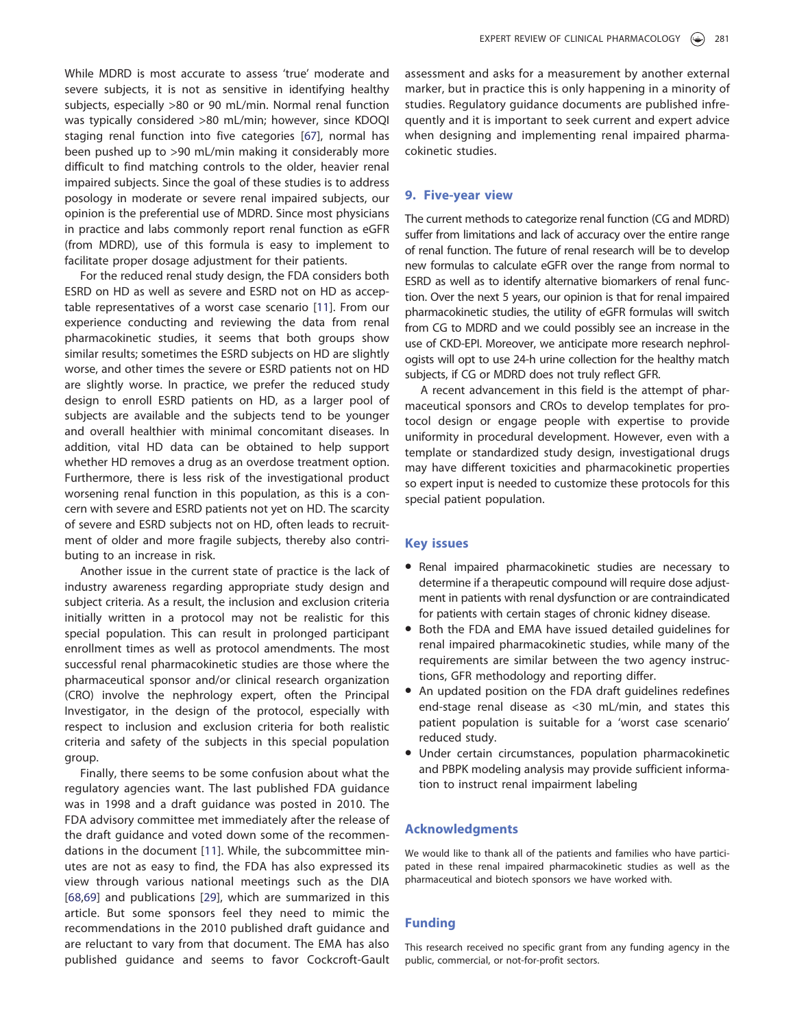While MDRD is most accurate to assess 'true' moderate and severe subjects, it is not as sensitive in identifying healthy subjects, especially >80 or 90 mL/min. Normal renal function was typically considered >80 mL/min; however, since KDOQI staging renal function into five categories [67], normal has been pushed up to >90 mL/min making it considerably more difficult to find matching controls to the older, heavier renal impaired subjects. Since the goal of these studies is to address posology in moderate or severe renal impaired subjects, our opinion is the preferential use of MDRD. Since most physicians in practice and labs commonly report renal function as eGFR (from MDRD), use of this formula is easy to implement to facilitate proper dosage adjustment for their patients.

For the reduced renal study design, the FDA considers both ESRD on HD as well as severe and ESRD not on HD as acceptable representatives of a worst case scenario [11]. From our experience conducting and reviewing the data from renal pharmacokinetic studies, it seems that both groups show similar results; sometimes the ESRD subjects on HD are slightly worse, and other times the severe or ESRD patients not on HD are slightly worse. In practice, we prefer the reduced study design to enroll ESRD patients on HD, as a larger pool of subjects are available and the subjects tend to be younger and overall healthier with minimal concomitant diseases. In addition, vital HD data can be obtained to help support whether HD removes a drug as an overdose treatment option. Furthermore, there is less risk of the investigational product worsening renal function in this population, as this is a concern with severe and ESRD patients not yet on HD. The scarcity of severe and ESRD subjects not on HD, often leads to recruitment of older and more fragile subjects, thereby also contributing to an increase in risk.

Another issue in the current state of practice is the lack of industry awareness regarding appropriate study design and subject criteria. As a result, the inclusion and exclusion criteria initially written in a protocol may not be realistic for this special population. This can result in prolonged participant enrollment times as well as protocol amendments. The most successful renal pharmacokinetic studies are those where the pharmaceutical sponsor and/or clinical research organization (CRO) involve the nephrology expert, often the Principal Investigator, in the design of the protocol, especially with respect to inclusion and exclusion criteria for both realistic criteria and safety of the subjects in this special population group.

Finally, there seems to be some confusion about what the regulatory agencies want. The last published FDA guidance was in 1998 and a draft guidance was posted in 2010. The FDA advisory committee met immediately after the release of the draft guidance and voted down some of the recommendations in the document [11]. While, the subcommittee minutes are not as easy to find, the FDA has also expressed its view through various national meetings such as the DIA [68,69] and publications [29], which are summarized in this article. But some sponsors feel they need to mimic the recommendations in the 2010 published draft guidance and are reluctant to vary from that document. The EMA has also published guidance and seems to favor Cockcroft-Gault assessment and asks for a measurement by another external marker, but in practice this is only happening in a minority of studies. Regulatory guidance documents are published infrequently and it is important to seek current and expert advice when designing and implementing renal impaired pharmacokinetic studies.

#### 9. Five-year view

The current methods to categorize renal function (CG and MDRD) suffer from limitations and lack of accuracy over the entire range of renal function. The future of renal research will be to develop new formulas to calculate eGFR over the range from normal to ESRD as well as to identify alternative biomarkers of renal function. Over the next 5 years, our opinion is that for renal impaired pharmacokinetic studies, the utility of eGFR formulas will switch from CG to MDRD and we could possibly see an increase in the use of CKD-EPI. Moreover, we anticipate more research nephrologists will opt to use 24-h urine collection for the healthy match subjects, if CG or MDRD does not truly reflect GFR.

A recent advancement in this field is the attempt of pharmaceutical sponsors and CROs to develop templates for protocol design or engage people with expertise to provide uniformity in procedural development. However, even with a template or standardized study design, investigational drugs may have different toxicities and pharmacokinetic properties so expert input is needed to customize these protocols for this special patient population.

#### Key issues

- Renal impaired pharmacokinetic studies are necessary to determine if a therapeutic compound will require dose adjustment in patients with renal dysfunction or are contraindicated for patients with certain stages of chronic kidney disease.
- Both the FDA and EMA have issued detailed guidelines for renal impaired pharmacokinetic studies, while many of the requirements are similar between the two agency instructions, GFR methodology and reporting differ.
- An updated position on the FDA draft guidelines redefines end-stage renal disease as <30 mL/min, and states this patient population is suitable for a 'worst case scenario' reduced study.
- Under certain circumstances, population pharmacokinetic and PBPK modeling analysis may provide sufficient information to instruct renal impairment labeling

## Acknowledgments

We would like to thank all of the patients and families who have participated in these renal impaired pharmacokinetic studies as well as the pharmaceutical and biotech sponsors we have worked with.

#### Funding

This research received no specific grant from any funding agency in the public, commercial, or not-for-profit sectors.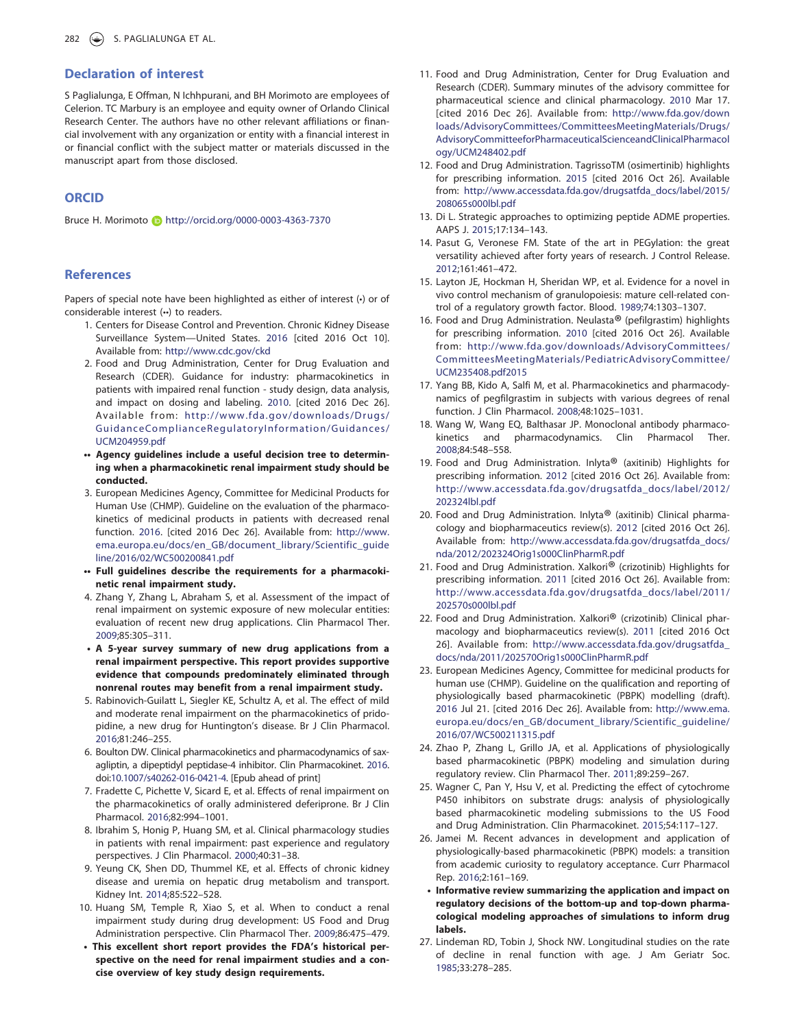#### Declaration of interest

S Paglialunga, E Offman, N Ichhpurani, and BH Morimoto are employees of Celerion. TC Marbury is an employee and equity owner of Orlando Clinical Research Center. The authors have no other relevant affiliations or financial involvement with any organization or entity with a financial interest in or financial conflict with the subject matter or materials discussed in the manuscript apart from those disclosed.

## ORCID

Bruce H. Morimoto **b** http://orcid.org/0000-0003-4363-7370

#### **References**

Papers of special note have been highlighted as either of interest (•) or of considerable interest (••) to readers.

- 1. Centers for Disease Control and Prevention. Chronic Kidney Disease Surveillance System—United States. 2016 [cited 2016 Oct 10]. Available from: http://www.cdc.gov/ckd
- 2. Food and Drug Administration, Center for Drug Evaluation and Research (CDER). Guidance for industry: pharmacokinetics in patients with impaired renal function - study design, data analysis, and impact on dosing and labeling. 2010. [cited 2016 Dec 26]. Available from: http://www.fda.gov/downloads/Drugs/ GuidanceComplianceRegulatoryInformation/Guidances/ UCM204959.pdf
- •• Agency guidelines include a useful decision tree to determining when a pharmacokinetic renal impairment study should be conducted.
- 3. European Medicines Agency, Committee for Medicinal Products for Human Use (CHMP). Guideline on the evaluation of the pharmacokinetics of medicinal products in patients with decreased renal function. 2016. [cited 2016 Dec 26]. Available from: http://www. ema.europa.eu/docs/en\_GB/document\_library/Scientific\_guide line/2016/02/WC500200841.pdf
- •• Full guidelines describe the requirements for a pharmacokinetic renal impairment study.
- 4. Zhang Y, Zhang L, Abraham S, et al. Assessment of the impact of renal impairment on systemic exposure of new molecular entities: evaluation of recent new drug applications. Clin Pharmacol Ther. 2009;85:305–311.
- A 5-year survey summary of new drug applications from a renal impairment perspective. This report provides supportive evidence that compounds predominately eliminated through nonrenal routes may benefit from a renal impairment study.
- 5. Rabinovich-Guilatt L, Siegler KE, Schultz A, et al. The effect of mild and moderate renal impairment on the pharmacokinetics of pridopidine, a new drug for Huntington's disease. Br J Clin Pharmacol. 2016;81:246–255.
- 6. Boulton DW. Clinical pharmacokinetics and pharmacodynamics of saxagliptin, a dipeptidyl peptidase-4 inhibitor. Clin Pharmacokinet. 2016. doi:10.1007/s40262-016-0421-4. [Epub ahead of print]
- 7. Fradette C, Pichette V, Sicard E, et al. Effects of renal impairment on the pharmacokinetics of orally administered deferiprone. Br J Clin Pharmacol. 2016;82:994–1001.
- 8. Ibrahim S, Honig P, Huang SM, et al. Clinical pharmacology studies in patients with renal impairment: past experience and regulatory perspectives. J Clin Pharmacol. 2000;40:31–38.
- 9. Yeung CK, Shen DD, Thummel KE, et al. Effects of chronic kidney disease and uremia on hepatic drug metabolism and transport. Kidney Int. 2014;85:522–528.
- 10. Huang SM, Temple R, Xiao S, et al. When to conduct a renal impairment study during drug development: US Food and Drug Administration perspective. Clin Pharmacol Ther. 2009;86:475–479.
- This excellent short report provides the FDA's historical perspective on the need for renal impairment studies and a concise overview of key study design requirements.
- 11. Food and Drug Administration, Center for Drug Evaluation and Research (CDER). Summary minutes of the advisory committee for pharmaceutical science and clinical pharmacology. 2010 Mar 17. [cited 2016 Dec 26]. Available from: http://www.fda.gov/down loads/AdvisoryCommittees/CommitteesMeetingMaterials/Drugs/ AdvisoryCommitteeforPharmaceuticalScienceandClinicalPharmacol ogy/UCM248402.pdf
- 12. Food and Drug Administration. TagrissoTM (osimertinib) highlights for prescribing information. 2015 [cited 2016 Oct 26]. Available from: http://www.accessdata.fda.gov/drugsatfda\_docs/label/2015/ 208065s000lbl.pdf
- 13. Di L. Strategic approaches to optimizing peptide ADME properties. AAPS J. 2015;17:134–143.
- 14. Pasut G, Veronese FM. State of the art in PEGylation: the great versatility achieved after forty years of research. J Control Release. 2012;161:461–472.
- 15. Layton JE, Hockman H, Sheridan WP, et al. Evidence for a novel in vivo control mechanism of granulopoiesis: mature cell-related control of a regulatory growth factor. Blood. 1989;74:1303–1307.
- 16. Food and Drug Administration. Neulasta® (pefilgrastim) highlights for prescribing information. 2010 [cited 2016 Oct 26]. Available from: http://www.fda.gov/downloads/AdvisoryCommittees/ CommitteesMeetingMaterials/PediatricAdvisoryCommittee/ UCM235408.pdf2015
- 17. Yang BB, Kido A, Salfi M, et al. Pharmacokinetics and pharmacodynamics of pegfilgrastim in subjects with various degrees of renal function. J Clin Pharmacol. 2008;48:1025–1031.
- 18. Wang W, Wang EQ, Balthasar JP. Monoclonal antibody pharmacokinetics and pharmacodynamics. Clin Pharmacol Ther. 2008;84:548–558.
- 19. Food and Drug Administration. Inlyta® (axitinib) Highlights for prescribing information. 2012 [cited 2016 Oct 26]. Available from: http://www.accessdata.fda.gov/drugsatfda\_docs/label/2012/ 202324lbl.pdf
- 20. Food and Drug Administration. Inlyta<sup>®</sup> (axitinib) Clinical pharmacology and biopharmaceutics review(s). 2012 [cited 2016 Oct 26]. Available from: http://www.accessdata.fda.gov/drugsatfda\_docs/ nda/2012/202324Orig1s000ClinPharmR.pdf
- 21. Food and Drug Administration. Xalkori® (crizotinib) Highlights for prescribing information. 2011 [cited 2016 Oct 26]. Available from: http://www.accessdata.fda.gov/drugsatfda\_docs/label/2011/ 202570s000lbl.pdf
- 22. Food and Drug Administration. Xalkori® (crizotinib) Clinical pharmacology and biopharmaceutics review(s). 2011 [cited 2016 Oct 26]. Available from: http://www.accessdata.fda.gov/drugsatfda\_ docs/nda/2011/202570Orig1s000ClinPharmR.pdf
- 23. European Medicines Agency, Committee for medicinal products for human use (CHMP). Guideline on the qualification and reporting of physiologically based pharmacokinetic (PBPK) modelling (draft). 2016 Jul 21. [cited 2016 Dec 26]. Available from: http://www.ema. europa.eu/docs/en\_GB/document\_library/Scientific\_guideline/ 2016/07/WC500211315.pdf
- 24. Zhao P, Zhang L, Grillo JA, et al. Applications of physiologically based pharmacokinetic (PBPK) modeling and simulation during regulatory review. Clin Pharmacol Ther. 2011;89:259–267.
- 25. Wagner C, Pan Y, Hsu V, et al. Predicting the effect of cytochrome P450 inhibitors on substrate drugs: analysis of physiologically based pharmacokinetic modeling submissions to the US Food and Drug Administration. Clin Pharmacokinet. 2015;54:117–127.
- 26. Jamei M. Recent advances in development and application of physiologically-based pharmacokinetic (PBPK) models: a transition from academic curiosity to regulatory acceptance. Curr Pharmacol Rep. 2016;2:161–169.
- Informative review summarizing the application and impact on regulatory decisions of the bottom-up and top-down pharmacological modeling approaches of simulations to inform drug labels.
- 27. Lindeman RD, Tobin J, Shock NW. Longitudinal studies on the rate of decline in renal function with age. J Am Geriatr Soc. 1985;33:278–285.